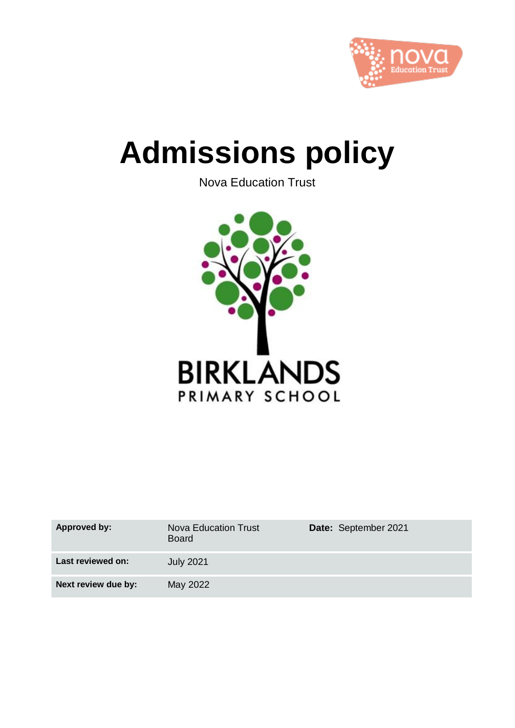

# **Admissions policy**

Nova Education Trust



| <b>Approved by:</b> | <b>Nova Education Trust</b><br><b>Board</b> | Date: September 2021 |
|---------------------|---------------------------------------------|----------------------|
| Last reviewed on:   | <b>July 2021</b>                            |                      |
| Next review due by: | May 2022                                    |                      |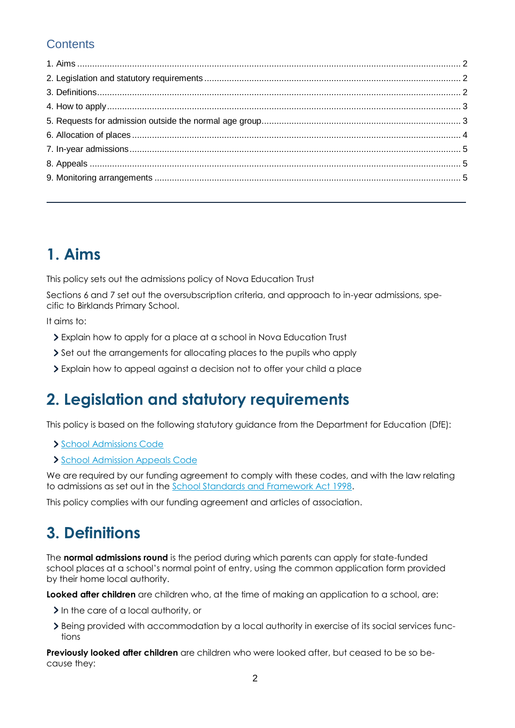### **Contents**

### **1. Aims**

This policy sets out the admissions policy of Nova Education Trust

Sections 6 and 7 set out the oversubscription criteria, and approach to in-year admissions, specific to Birklands Primary School.

It aims to:

- Explain how to apply for a place at a school in Nova Education Trust
- Set out the arrangements for allocating places to the pupils who apply
- Explain how to appeal against a decision not to offer your child a place

### **2. Legislation and statutory requirements**

This policy is based on the following statutory guidance from the Department for Education (DfE):

- [School Admissions Code](https://www.gov.uk/government/publications/school-admissions-code--2)
- [School Admission Appeals Code](https://www.gov.uk/government/publications/school-admissions-appeals-code)

We are required by our funding agreement to comply with these codes, and with the law relating to admissions as set out in the [School Standards and Framework Act 1998.](http://www.legislation.gov.uk/ukpga/1998/31/contents)

This policy complies with our funding agreement and articles of association.

### **3. Definitions**

The **normal admissions round** is the period during which parents can apply for state-funded school places at a school's normal point of entry, using the common application form provided by their home local authority.

**Looked after children** are children who, at the time of making an application to a school, are:

- In the care of a local authority, or
- Being provided with accommodation by a local authority in exercise of its social services functions

**Previously looked after children** are children who were looked after, but ceased to be so because they: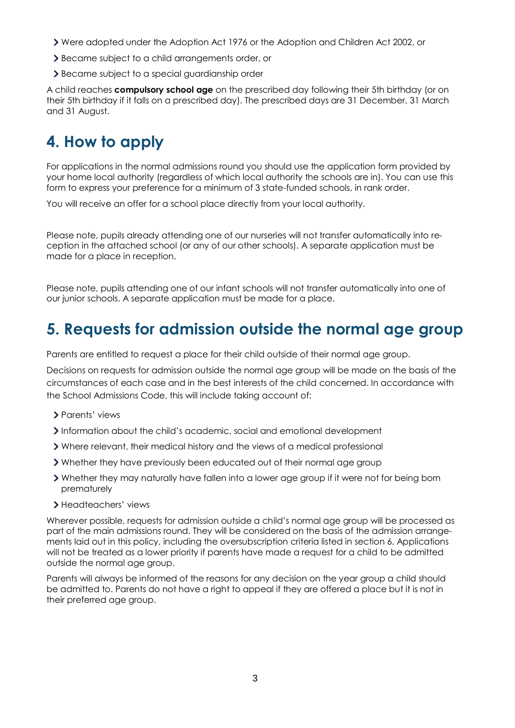- Were adopted under the Adoption Act 1976 or the Adoption and Children Act 2002, or
- Became subject to a child arrangements order, or
- Became subject to a special guardianship order

A child reaches **compulsory school age** on the prescribed day following their 5th birthday (or on their 5th birthday if it falls on a prescribed day). The prescribed days are 31 December, 31 March and 31 August.

### **4. How to apply**

For applications in the normal admissions round you should use the application form provided by your home local authority (regardless of which local authority the schools are in). You can use this form to express your preference for a minimum of 3 state-funded schools, in rank order.

You will receive an offer for a school place directly from your local authority.

Please note, pupils already attending one of our nurseries will not transfer automatically into reception in the attached school (or any of our other schools). A separate application must be made for a place in reception.

Please note, pupils attending one of our infant schools will not transfer automatically into one of our junior schools. A separate application must be made for a place.

### **5. Requests for admission outside the normal age group**

Parents are entitled to request a place for their child outside of their normal age group.

Decisions on requests for admission outside the normal age group will be made on the basis of the circumstances of each case and in the best interests of the child concerned. In accordance with the School Admissions Code, this will include taking account of:

- > Parents' views
- Information about the child's academic, social and emotional development
- Where relevant, their medical history and the views of a medical professional
- Whether they have previously been educated out of their normal age group
- Whether they may naturally have fallen into a lower age group if it were not for being born prematurely
- > Headteachers' views

Wherever possible, requests for admission outside a child's normal age group will be processed as part of the main admissions round. They will be considered on the basis of the admission arrangements laid out in this policy, including the oversubscription criteria listed in section 6. Applications will not be treated as a lower priority if parents have made a request for a child to be admitted outside the normal age group.

Parents will always be informed of the reasons for any decision on the year group a child should be admitted to. Parents do not have a right to appeal if they are offered a place but it is not in their preferred age group.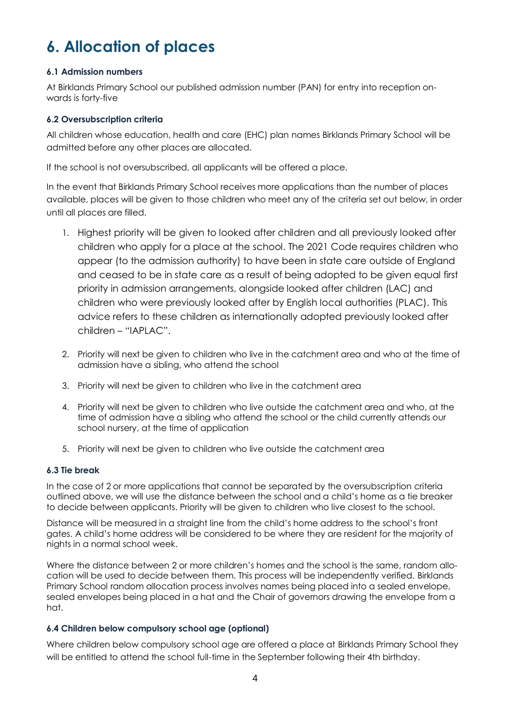## **6. Allocation of places**

#### **6.1 Admission numbers**

At Birklands Primary School our published admission number (PAN) for entry into reception onwards is forty-five

#### **6.2 Oversubscription criteria**

All children whose education, health and care (EHC) plan names Birklands Primary School will be admitted before any other places are allocated.

If the school is not oversubscribed, all applicants will be offered a place.

In the event that Birklands Primary School receives more applications than the number of places available, places will be given to those children who meet any of the criteria set out below, in order until all places are filled.

- 1. Highest priority will be given to looked after children and all previously looked after children who apply for a place at the school. The 2021 Code requires children who appear (to the admission authority) to have been in state care outside of England and ceased to be in state care as a result of being adopted to be given equal first priority in admission arrangements, alongside looked after children (LAC) and children who were previously looked after by English local authorities (PLAC). This advice refers to these children as internationally adopted previously looked after children – "IAPLAC".
- 2. Priority will next be given to children who live in the catchment area and who at the time of admission have a sibling, who attend the school
- 3. Priority will next be given to children who live in the catchment area
- 4. Priority will next be given to children who live outside the catchment area and who, at the time of admission have a sibling who attend the school or the child currently attends our school nursery, at the time of application
- 5. Priority will next be given to children who live outside the catchment area

#### **6.3 Tie break**

In the case of 2 or more applications that cannot be separated by the oversubscription criteria outlined above, we will use the distance between the school and a child's home as a tie breaker to decide between applicants. Priority will be given to children who live closest to the school.

Distance will be measured in a straight line from the child's home address to the school's front gates. A child's home address will be considered to be where they are resident for the majority of nights in a normal school week.

Where the distance between 2 or more children's homes and the school is the same, random allocation will be used to decide between them. This process will be independently verified. Birklands Primary School random allocation process involves names being placed into a sealed envelope, sealed envelopes being placed in a hat and the Chair of governors drawing the envelope from a hat.

#### **6.4 Children below compulsory school age (optional)**

Where children below compulsory school age are offered a place at Birklands Primary School they will be entitled to attend the school full-time in the September following their 4th birthday.